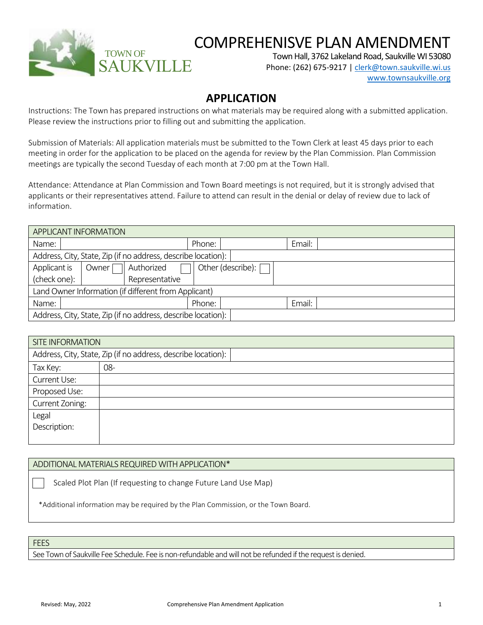

## COMPREHENISVE PLAN AMENDMENT

Town Hall, 3762 Lakeland Road, Saukville WI 53080

Phone: (262) 675-9217 [| clerk@town.saukville.wi.us](mailto:clerk@town.saukville.wi.us) [www.townsaukville.org](http://www.townsaukville.org/)

## **APPLICATION**

Instructions: The Town has prepared instructions on what materials may be required along with a submitted application. Please review the instructions prior to filling out and submitting the application.

Submission of Materials: All application materials must be submitted to the Town Clerk at least 45 days prior to each meeting in order for the application to be placed on the agenda for review by the Plan Commission. Plan Commission meetings are typically the second Tuesday of each month at 7:00 pm at the Town Hall.

Attendance: Attendance at Plan Commission and Town Board meetings is not required, but it is strongly advised that applicants or their representatives attend. Failure to attend can result in the denial or delay of review due to lack of information.

| APPLICANT INFORMATION                                         |        |                   |        |  |  |
|---------------------------------------------------------------|--------|-------------------|--------|--|--|
| Name:                                                         | Phone: |                   | Email: |  |  |
| Address, City, State, Zip (if no address, describe location): |        |                   |        |  |  |
| Authorized<br>Applicant is<br>Owner                           |        | Other (describe): |        |  |  |
| (check one):<br>Representative                                |        |                   |        |  |  |
| Land Owner Information (if different from Applicant)          |        |                   |        |  |  |
| Name:                                                         | Phone: |                   | Email: |  |  |
| Address, City, State, Zip (if no address, describe location): |        |                   |        |  |  |

| <b>SITE INFORMATION</b>                                       |     |  |
|---------------------------------------------------------------|-----|--|
| Address, City, State, Zip (if no address, describe location): |     |  |
| Tax Key:                                                      | 08- |  |
| Current Use:                                                  |     |  |
| Proposed Use:                                                 |     |  |
| Current Zoning:                                               |     |  |
| Legal                                                         |     |  |
| Description:                                                  |     |  |
|                                                               |     |  |

## ADDITIONAL MATERIALS REQUIRED WITH APPLICATION\*

Scaled Plot Plan (If requesting to change Future Land Use Map)

\*Additional information may be required by the Plan Commission, or the Town Board.

**FEES** 

See Town of Saukville Fee Schedule. Fee is non-refundable and will not be refunded if the request is denied.